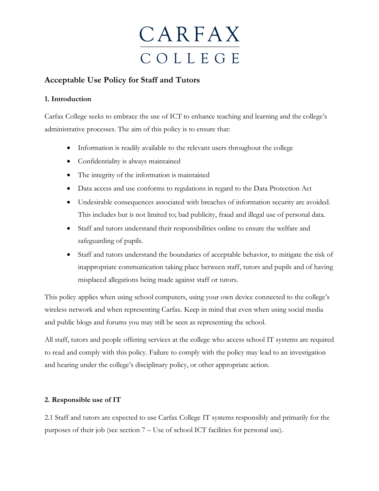

### **Acceptable Use Policy for Staff and Tutors**

### **1. Introduction**

Carfax College seeks to embrace the use of ICT to enhance teaching and learning and the college's administrative processes. The aim of this policy is to ensure that:

- Information is readily available to the relevant users throughout the college
- Confidentiality is always maintained
- The integrity of the information is maintained
- Data access and use conforms to regulations in regard to the Data Protection Act
- Undesirable consequences associated with breaches of information security are avoided. This includes but is not limited to; bad publicity, fraud and illegal use of personal data.
- Staff and tutors understand their responsibilities online to ensure the welfare and safeguarding of pupils.
- Staff and tutors understand the boundaries of acceptable behavior, to mitigate the risk of inappropriate communication taking place between staff, tutors and pupils and of having misplaced allegations being made against staff or tutors.

This policy applies when using school computers, using your own device connected to the college's wireless network and when representing Carfax. Keep in mind that even when using social media and public blogs and forums you may still be seen as representing the school.

All staff, tutors and people offering services at the college who access school IT systems are required to read and comply with this policy. Failure to comply with the policy may lead to an investigation and hearing under the college's disciplinary policy, or other appropriate action.

### **2. Responsible use of IT**

2.1 Staff and tutors are expected to use Carfax College IT systems responsibly and primarily for the purposes of their job (see section 7 – Use of school ICT facilities for personal use).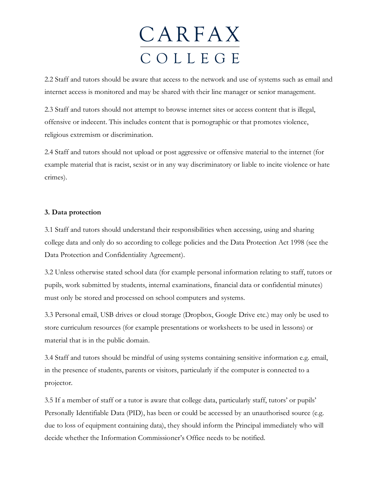2.2 Staff and tutors should be aware that access to the network and use of systems such as email and internet access is monitored and may be shared with their line manager or senior management.

2.3 Staff and tutors should not attempt to browse internet sites or access content that is illegal, offensive or indecent. This includes content that is pornographic or that promotes violence, religious extremism or discrimination.

2.4 Staff and tutors should not upload or post aggressive or offensive material to the internet (for example material that is racist, sexist or in any way discriminatory or liable to incite violence or hate crimes).

#### **3. Data protection**

3.1 Staff and tutors should understand their responsibilities when accessing, using and sharing college data and only do so according to college policies and the Data Protection Act 1998 (see the Data Protection and Confidentiality Agreement).

3.2 Unless otherwise stated school data (for example personal information relating to staff, tutors or pupils, work submitted by students, internal examinations, financial data or confidential minutes) must only be stored and processed on school computers and systems.

3.3 Personal email, USB drives or cloud storage (Dropbox, Google Drive etc.) may only be used to store curriculum resources (for example presentations or worksheets to be used in lessons) or material that is in the public domain.

3.4 Staff and tutors should be mindful of using systems containing sensitive information e.g. email, in the presence of students, parents or visitors, particularly if the computer is connected to a projector.

3.5 If a member of staff or a tutor is aware that college data, particularly staff, tutors' or pupils' Personally Identifiable Data (PID), has been or could be accessed by an unauthorised source (e.g. due to loss of equipment containing data), they should inform the Principal immediately who will decide whether the Information Commissioner's Office needs to be notified.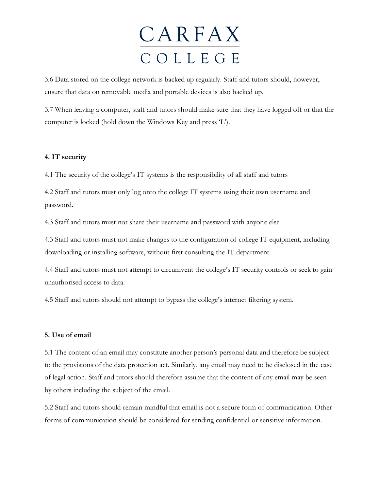3.6 Data stored on the college network is backed up regularly. Staff and tutors should, however, ensure that data on removable media and portable devices is also backed up.

3.7 When leaving a computer, staff and tutors should make sure that they have logged off or that the computer is locked (hold down the Windows Key and press 'L').

### **4. IT security**

4.1 The security of the college's IT systems is the responsibility of all staff and tutors

4.2 Staff and tutors must only log onto the college IT systems using their own username and password.

4.3 Staff and tutors must not share their username and password with anyone else

4.3 Staff and tutors must not make changes to the configuration of college IT equipment, including downloading or installing software, without first consulting the IT department.

4.4 Staff and tutors must not attempt to circumvent the college's IT security controls or seek to gain unauthorised access to data.

4.5 Staff and tutors should not attempt to bypass the college's internet filtering system.

#### **5. Use of email**

5.1 The content of an email may constitute another person's personal data and therefore be subject to the provisions of the data protection act. Similarly, any email may need to be disclosed in the case of legal action. Staff and tutors should therefore assume that the content of any email may be seen by others including the subject of the email.

5.2 Staff and tutors should remain mindful that email is not a secure form of communication. Other forms of communication should be considered for sending confidential or sensitive information.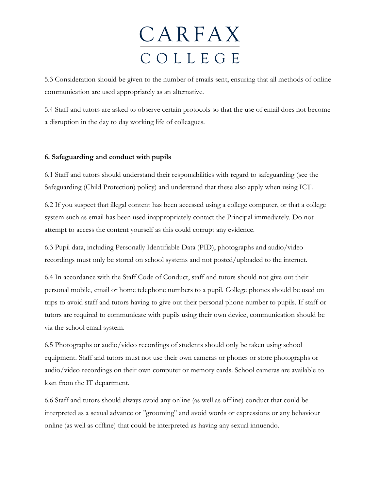5.3 Consideration should be given to the number of emails sent, ensuring that all methods of online communication are used appropriately as an alternative.

5.4 Staff and tutors are asked to observe certain protocols so that the use of email does not become a disruption in the day to day working life of colleagues.

### **6. Safeguarding and conduct with pupils**

6.1 Staff and tutors should understand their responsibilities with regard to safeguarding (see the Safeguarding (Child Protection) policy) and understand that these also apply when using ICT.

6.2 If you suspect that illegal content has been accessed using a college computer, or that a college system such as email has been used inappropriately contact the Principal immediately. Do not attempt to access the content yourself as this could corrupt any evidence.

6.3 Pupil data, including Personally Identifiable Data (PID), photographs and audio/video recordings must only be stored on school systems and not posted/uploaded to the internet.

6.4 In accordance with the Staff Code of Conduct, staff and tutors should not give out their personal mobile, email or home telephone numbers to a pupil. College phones should be used on trips to avoid staff and tutors having to give out their personal phone number to pupils. If staff or tutors are required to communicate with pupils using their own device, communication should be via the school email system.

6.5 Photographs or audio/video recordings of students should only be taken using school equipment. Staff and tutors must not use their own cameras or phones or store photographs or audio/video recordings on their own computer or memory cards. School cameras are available to loan from the IT department.

6.6 Staff and tutors should always avoid any online (as well as offline) conduct that could be interpreted as a sexual advance or "grooming" and avoid words or expressions or any behaviour online (as well as offline) that could be interpreted as having any sexual innuendo.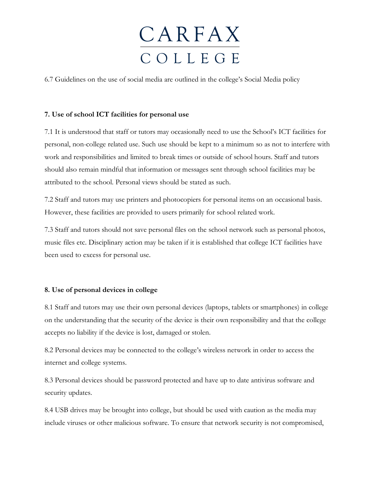6.7 Guidelines on the use of social media are outlined in the college's Social Media policy

### **7. Use of school ICT facilities for personal use**

7.1 It is understood that staff or tutors may occasionally need to use the School's ICT facilities for personal, non-college related use. Such use should be kept to a minimum so as not to interfere with work and responsibilities and limited to break times or outside of school hours. Staff and tutors should also remain mindful that information or messages sent through school facilities may be attributed to the school. Personal views should be stated as such.

7.2 Staff and tutors may use printers and photocopiers for personal items on an occasional basis. However, these facilities are provided to users primarily for school related work.

7.3 Staff and tutors should not save personal files on the school network such as personal photos, music files etc. Disciplinary action may be taken if it is established that college ICT facilities have been used to excess for personal use.

### **8. Use of personal devices in college**

8.1 Staff and tutors may use their own personal devices (laptops, tablets or smartphones) in college on the understanding that the security of the device is their own responsibility and that the college accepts no liability if the device is lost, damaged or stolen.

8.2 Personal devices may be connected to the college's wireless network in order to access the internet and college systems.

8.3 Personal devices should be password protected and have up to date antivirus software and security updates.

8.4 USB drives may be brought into college, but should be used with caution as the media may include viruses or other malicious software. To ensure that network security is not compromised,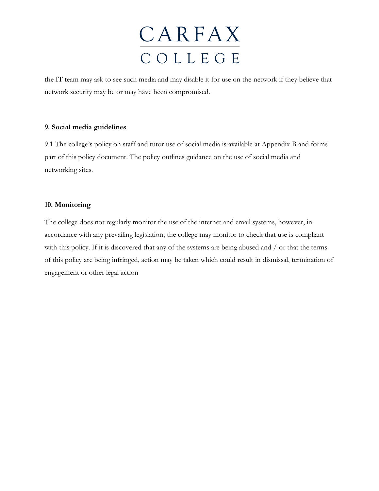the IT team may ask to see such media and may disable it for use on the network if they believe that network security may be or may have been compromised.

### **9. Social media guidelines**

9.1 The college's policy on staff and tutor use of social media is available at Appendix B and forms part of this policy document. The policy outlines guidance on the use of social media and networking sites.

### **10. Monitoring**

The college does not regularly monitor the use of the internet and email systems, however, in accordance with any prevailing legislation, the college may monitor to check that use is compliant with this policy. If it is discovered that any of the systems are being abused and / or that the terms of this policy are being infringed, action may be taken which could result in dismissal, termination of engagement or other legal action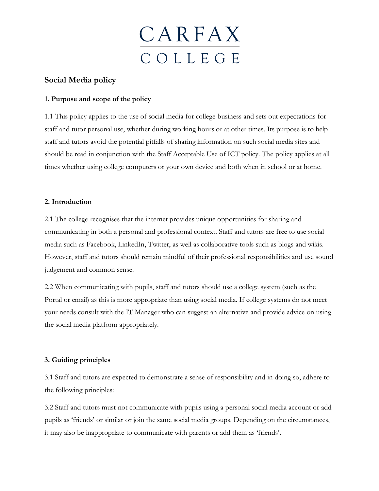

### **Social Media policy**

### **1. Purpose and scope of the policy**

1.1 This policy applies to the use of social media for college business and sets out expectations for staff and tutor personal use, whether during working hours or at other times. Its purpose is to help staff and tutors avoid the potential pitfalls of sharing information on such social media sites and should be read in conjunction with the Staff Acceptable Use of ICT policy. The policy applies at all times whether using college computers or your own device and both when in school or at home.

#### **2. Introduction**

2.1 The college recognises that the internet provides unique opportunities for sharing and communicating in both a personal and professional context. Staff and tutors are free to use social media such as Facebook, LinkedIn, Twitter, as well as collaborative tools such as blogs and wikis. However, staff and tutors should remain mindful of their professional responsibilities and use sound judgement and common sense.

2.2 When communicating with pupils, staff and tutors should use a college system (such as the Portal or email) as this is more appropriate than using social media. If college systems do not meet your needs consult with the IT Manager who can suggest an alternative and provide advice on using the social media platform appropriately.

### **3. Guiding principles**

3.1 Staff and tutors are expected to demonstrate a sense of responsibility and in doing so, adhere to the following principles:

3.2 Staff and tutors must not communicate with pupils using a personal social media account or add pupils as 'friends' or similar or join the same social media groups. Depending on the circumstances, it may also be inappropriate to communicate with parents or add them as 'friends'.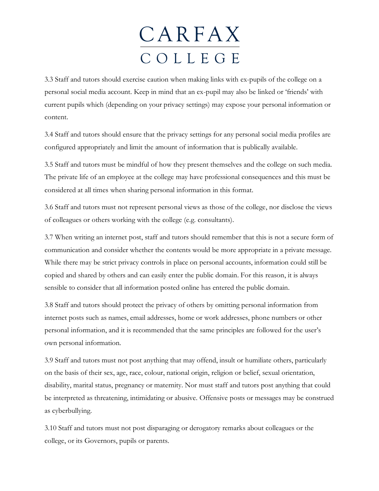3.3 Staff and tutors should exercise caution when making links with ex-pupils of the college on a personal social media account. Keep in mind that an ex-pupil may also be linked or 'friends' with current pupils which (depending on your privacy settings) may expose your personal information or content.

3.4 Staff and tutors should ensure that the privacy settings for any personal social media profiles are configured appropriately and limit the amount of information that is publically available.

3.5 Staff and tutors must be mindful of how they present themselves and the college on such media. The private life of an employee at the college may have professional consequences and this must be considered at all times when sharing personal information in this format.

3.6 Staff and tutors must not represent personal views as those of the college, nor disclose the views of colleagues or others working with the college (e.g. consultants).

3.7 When writing an internet post, staff and tutors should remember that this is not a secure form of communication and consider whether the contents would be more appropriate in a private message. While there may be strict privacy controls in place on personal accounts, information could still be copied and shared by others and can easily enter the public domain. For this reason, it is always sensible to consider that all information posted online has entered the public domain.

3.8 Staff and tutors should protect the privacy of others by omitting personal information from internet posts such as names, email addresses, home or work addresses, phone numbers or other personal information, and it is recommended that the same principles are followed for the user's own personal information.

3.9 Staff and tutors must not post anything that may offend, insult or humiliate others, particularly on the basis of their sex, age, race, colour, national origin, religion or belief, sexual orientation, disability, marital status, pregnancy or maternity. Nor must staff and tutors post anything that could be interpreted as threatening, intimidating or abusive. Offensive posts or messages may be construed as cyberbullying.

3.10 Staff and tutors must not post disparaging or derogatory remarks about colleagues or the college, or its Governors, pupils or parents.